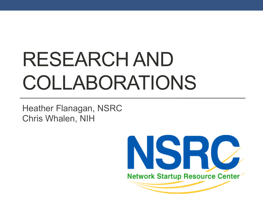# RESEARCH AND COLLABORATIONS

Heather Flanagan, NSRC Chris Whalen, NIH

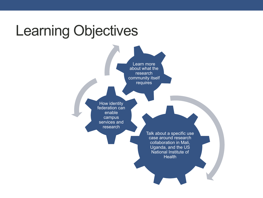#### Learning Objectives

Learn more about what the research community itself requires

How identity federation can enable campus services and research

> Talk about a specific use case around research collaboration in Mali, Uganda, and the US National Institute of **Health**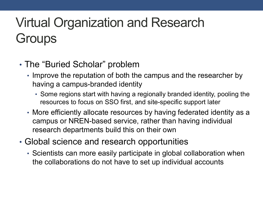#### Virtual Organization and Research **Groups**

- The "Buried Scholar" problem
	- Improve the reputation of both the campus and the researcher by having a campus-branded identity
		- Some regions start with having a regionally branded identity, pooling the resources to focus on SSO first, and site-specific support later
	- More efficiently allocate resources by having federated identity as a campus or NREN-based service, rather than having individual research departments build this on their own
- Global science and research opportunities
	- Scientists can more easily participate in global collaboration when the collaborations do not have to set up individual accounts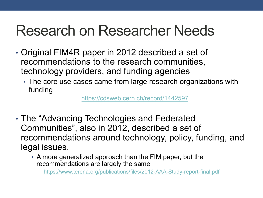### Research on Researcher Needs

- Original FIM4R paper in 2012 described a set of recommendations to the research communities, technology providers, and funding agencies
	- The core use cases came from large research organizations with funding

https://cdsweb.cern.ch/record/1442597

- The "Advancing Technologies and Federated Communities", also in 2012, described a set of recommendations around technology, policy, funding, and legal issues.
	- A more generalized approach than the FIM paper, but the recommendations are largely the same

https://www.terena.org/publications/files/2012-AAA-Study-report-final.pdf